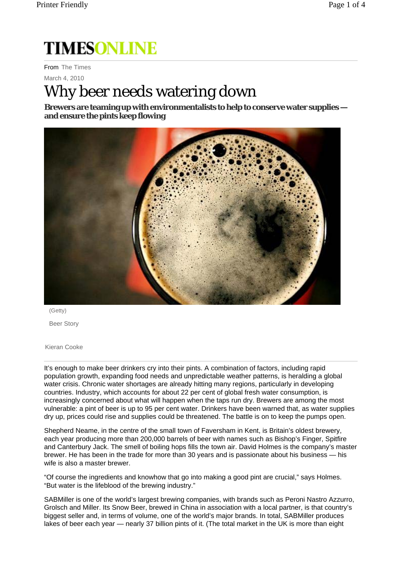## **TIMESONLINE**

From The Times

March 4, 2010

## Why beer needs watering down

**Brewers are teaming up with environmentalists to help to conserve water supplies and ensure the pints keep flowing** 



(Getty) Beer Story

Kieran Cooke

It's enough to make beer drinkers cry into their pints. A combination of factors, including rapid population growth, expanding food needs and unpredictable weather patterns, is heralding a global water crisis. Chronic water shortages are already hitting many regions, particularly in developing countries. Industry, which accounts for about 22 per cent of global fresh water consumption, is increasingly concerned about what will happen when the taps run dry. Brewers are among the most vulnerable: a pint of beer is up to 95 per cent water. Drinkers have been warned that, as water supplies dry up, prices could rise and supplies could be threatened. The battle is on to keep the pumps open.

Shepherd Neame, in the centre of the small town of Faversham in Kent, is Britain's oldest brewery, each year producing more than 200,000 barrels of beer with names such as Bishop's Finger, Spitfire and Canterbury Jack. The smell of boiling hops fills the town air. David Holmes is the company's master brewer. He has been in the trade for more than 30 years and is passionate about his business — his wife is also a master brewer.

"Of course the ingredients and knowhow that go into making a good pint are crucial," says Holmes. "But water is the lifeblood of the brewing industry."

SABMiller is one of the world's largest brewing companies, with brands such as Peroni Nastro Azzurro, Grolsch and Miller. Its Snow Beer, brewed in China in association with a local partner, is that country's biggest seller and, in terms of volume, one of the world's major brands. In total, SABMiller produces lakes of beer each year — nearly 37 billion pints of it. (The total market in the UK is more than eight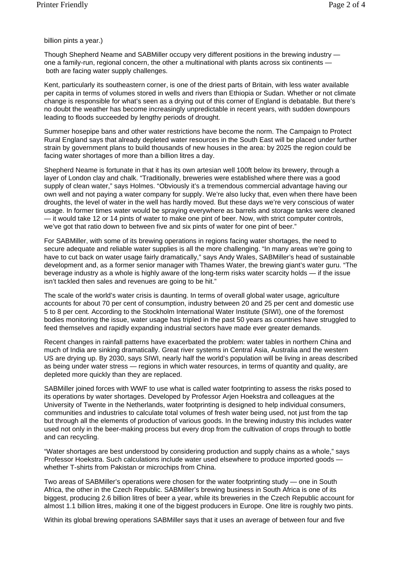billion pints a year.)

Though Shepherd Neame and SABMiller occupy very different positions in the brewing industry one a family-run, regional concern, the other a multinational with plants across six continents both are facing water supply challenges.

Kent, particularly its southeastern corner, is one of the driest parts of Britain, with less water available per capita in terms of volumes stored in wells and rivers than Ethiopia or Sudan. Whether or not climate change is responsible for what's seen as a drying out of this corner of England is debatable. But there's no doubt the weather has become increasingly unpredictable in recent years, with sudden downpours leading to floods succeeded by lengthy periods of drought.

Summer hosepipe bans and other water restrictions have become the norm. The Campaign to Protect Rural England says that already depleted water resources in the South East will be placed under further strain by government plans to build thousands of new houses in the area: by 2025 the region could be facing water shortages of more than a billion litres a day.

Shepherd Neame is fortunate in that it has its own artesian well 100ft below its brewery, through a layer of London clay and chalk. "Traditionally, breweries were established where there was a good supply of clean water," says Holmes. "Obviously it's a tremendous commercial advantage having our own well and not paying a water company for supply. We're also lucky that, even when there have been droughts, the level of water in the well has hardly moved. But these days we're very conscious of water usage. In former times water would be spraying everywhere as barrels and storage tanks were cleaned — it would take 12 or 14 pints of water to make one pint of beer. Now, with strict computer controls, we've got that ratio down to between five and six pints of water for one pint of beer."

For SABMiller, with some of its brewing operations in regions facing water shortages, the need to secure adequate and reliable water supplies is all the more challenging. "In many areas we're going to have to cut back on water usage fairly dramatically," says Andy Wales, SABMiller's head of sustainable development and, as a former senior manager with Thames Water, the brewing giant's water guru. "The beverage industry as a whole is highly aware of the long-term risks water scarcity holds — if the issue isn't tackled then sales and revenues are going to be hit."

The scale of the world's water crisis is daunting. In terms of overall global water usage, agriculture accounts for about 70 per cent of consumption, industry between 20 and 25 per cent and domestic use 5 to 8 per cent. According to the Stockholm International Water Institute (SIWI), one of the foremost bodies monitoring the issue, water usage has tripled in the past 50 years as countries have struggled to feed themselves and rapidly expanding industrial sectors have made ever greater demands.

Recent changes in rainfall patterns have exacerbated the problem: water tables in northern China and much of India are sinking dramatically. Great river systems in Central Asia, Australia and the western US are drying up. By 2030, says SIWI, nearly half the world's population will be living in areas described as being under water stress — regions in which water resources, in terms of quantity and quality, are depleted more quickly than they are replaced.

SABMiller joined forces with WWF to use what is called water footprinting to assess the risks posed to its operations by water shortages. Developed by Professor Arjen Hoekstra and colleagues at the University of Twente in the Netherlands, water footprinting is designed to help individual consumers, communities and industries to calculate total volumes of fresh water being used, not just from the tap but through all the elements of production of various goods. In the brewing industry this includes water used not only in the beer-making process but every drop from the cultivation of crops through to bottle and can recycling.

"Water shortages are best understood by considering production and supply chains as a whole," says Professor Hoekstra. Such calculations include water used elsewhere to produce imported goods whether T-shirts from Pakistan or microchips from China.

Two areas of SABMiller's operations were chosen for the water footprinting study — one in South Africa, the other in the Czech Republic. SABMiller's brewing business in South Africa is one of its biggest, producing 2.6 billion litres of beer a year, while its breweries in the Czech Republic account for almost 1.1 billion litres, making it one of the biggest producers in Europe. One litre is roughly two pints.

Within its global brewing operations SABMiller says that it uses an average of between four and five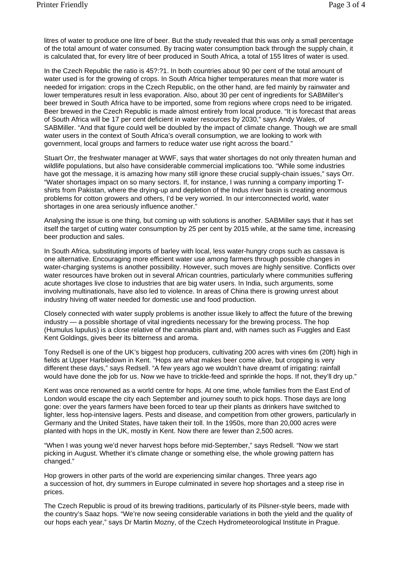litres of water to produce one litre of beer. But the study revealed that this was only a small percentage of the total amount of water consumed. By tracing water consumption back through the supply chain, it is calculated that, for every litre of beer produced in South Africa, a total of 155 litres of water is used.

In the Czech Republic the ratio is 45?:?1. In both countries about 90 per cent of the total amount of water used is for the growing of crops. In South Africa higher temperatures mean that more water is needed for irrigation: crops in the Czech Republic, on the other hand, are fed mainly by rainwater and lower temperatures result in less evaporation. Also, about 30 per cent of ingredients for SABMiller's beer brewed in South Africa have to be imported, some from regions where crops need to be irrigated. Beer brewed in the Czech Republic is made almost entirely from local produce. "It is forecast that areas of South Africa will be 17 per cent deficient in water resources by 2030," says Andy Wales, of SABMiller. "And that figure could well be doubled by the impact of climate change. Though we are small water users in the context of South Africa's overall consumption, we are looking to work with government, local groups and farmers to reduce water use right across the board."

Stuart Orr, the freshwater manager at WWF, says that water shortages do not only threaten human and wildlife populations, but also have considerable commercial implications too. "While some industries have got the message, it is amazing how many still ignore these crucial supply-chain issues," says Orr. "Water shortages impact on so many sectors. If, for instance, I was running a company importing Tshirts from Pakistan, where the drying-up and depletion of the Indus river basin is creating enormous problems for cotton growers and others, I'd be very worried. In our interconnected world, water shortages in one area seriously influence another."

Analysing the issue is one thing, but coming up with solutions is another. SABMiller says that it has set itself the target of cutting water consumption by 25 per cent by 2015 while, at the same time, increasing beer production and sales.

In South Africa, substituting imports of barley with local, less water-hungry crops such as cassava is one alternative. Encouraging more efficient water use among farmers through possible changes in water-charging systems is another possibility. However, such moves are highly sensitive. Conflicts over water resources have broken out in several African countries, particularly where communities suffering acute shortages live close to industries that are big water users. In India, such arguments, some involving multinationals, have also led to violence. In areas of China there is growing unrest about industry hiving off water needed for domestic use and food production.

Closely connected with water supply problems is another issue likely to affect the future of the brewing industry — a possible shortage of vital ingredients necessary for the brewing process. The hop (Humulus lupulus) is a close relative of the cannabis plant and, with names such as Fuggles and East Kent Goldings, gives beer its bitterness and aroma.

Tony Redsell is one of the UK's biggest hop producers, cultivating 200 acres with vines 6m (20ft) high in fields at Upper Harbledown in Kent. "Hops are what makes beer come alive, but cropping is very different these days," says Redsell. "A few years ago we wouldn't have dreamt of irrigating: rainfall would have done the job for us. Now we have to trickle-feed and sprinkle the hops. If not, they'll dry up."

Kent was once renowned as a world centre for hops. At one time, whole families from the East End of London would escape the city each September and journey south to pick hops. Those days are long gone: over the years farmers have been forced to tear up their plants as drinkers have switched to lighter, less hop-intensive lagers. Pests and disease, and competition from other growers, particularly in Germany and the United States, have taken their toll. In the 1950s, more than 20,000 acres were planted with hops in the UK, mostly in Kent. Now there are fewer than 2,500 acres.

"When I was young we'd never harvest hops before mid-September," says Redsell. "Now we start picking in August. Whether it's climate change or something else, the whole growing pattern has changed."

Hop growers in other parts of the world are experiencing similar changes. Three years ago a succession of hot, dry summers in Europe culminated in severe hop shortages and a steep rise in prices.

The Czech Republic is proud of its brewing traditions, particularly of its Pilsner-style beers, made with the country's Saaz hops. "We're now seeing considerable variations in both the yield and the quality of our hops each year," says Dr Martin Mozny, of the Czech Hydrometeorological Institute in Prague.